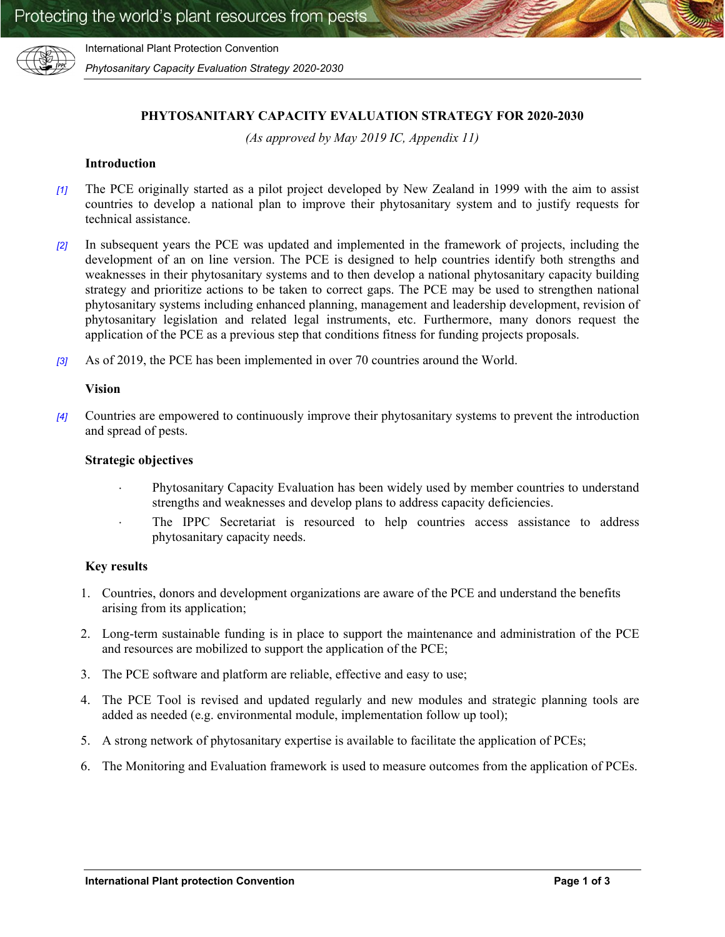

International Plant Protection Convention

*Phytosanitary Capacity Evaluation Strategy 2020-2030*

## **PHYTOSANITARY CAPACITY EVALUATION STRATEGY FOR 2020-2030**

*(As approved by May 2019 IC, Appendix 11)*

### **Introduction**

- *[1]* The PCE originally started as a pilot project developed by New Zealand in 1999 with the aim to assist countries to develop a national plan to improve their phytosanitary system and to justify requests for technical assistance.
- *[2]* In subsequent years the PCE was updated and implemented in the framework of projects, including the development of an on line version. The PCE is designed to help countries identify both strengths and weaknesses in their phytosanitary systems and to then develop a national phytosanitary capacity building strategy and prioritize actions to be taken to correct gaps. The PCE may be used to strengthen national phytosanitary systems including enhanced planning, management and leadership development, revision of phytosanitary legislation and related legal instruments, etc. Furthermore, many donors request the application of the PCE as a previous step that conditions fitness for funding projects proposals.
- *[3]* As of 2019, the PCE has been implemented in over 70 countries around the World.

#### **Vision**

*[4]* Countries are empowered to continuously improve their phytosanitary systems to prevent the introduction and spread of pests.

### **Strategic objectives**

- Phytosanitary Capacity Evaluation has been widely used by member countries to understand strengths and weaknesses and develop plans to address capacity deficiencies.
- The IPPC Secretariat is resourced to help countries access assistance to address phytosanitary capacity needs.

#### **Key results**

- 1. Countries, donors and development organizations are aware of the PCE and understand the benefits arising from its application;
- 2. Long-term sustainable funding is in place to support the maintenance and administration of the PCE and resources are mobilized to support the application of the PCE;
- 3. The PCE software and platform are reliable, effective and easy to use;
- 4. The PCE Tool is revised and updated regularly and new modules and strategic planning tools are added as needed (e.g. environmental module, implementation follow up tool);
- 5. A strong network of phytosanitary expertise is available to facilitate the application of PCEs;
- 6. The Monitoring and Evaluation framework is used to measure outcomes from the application of PCEs.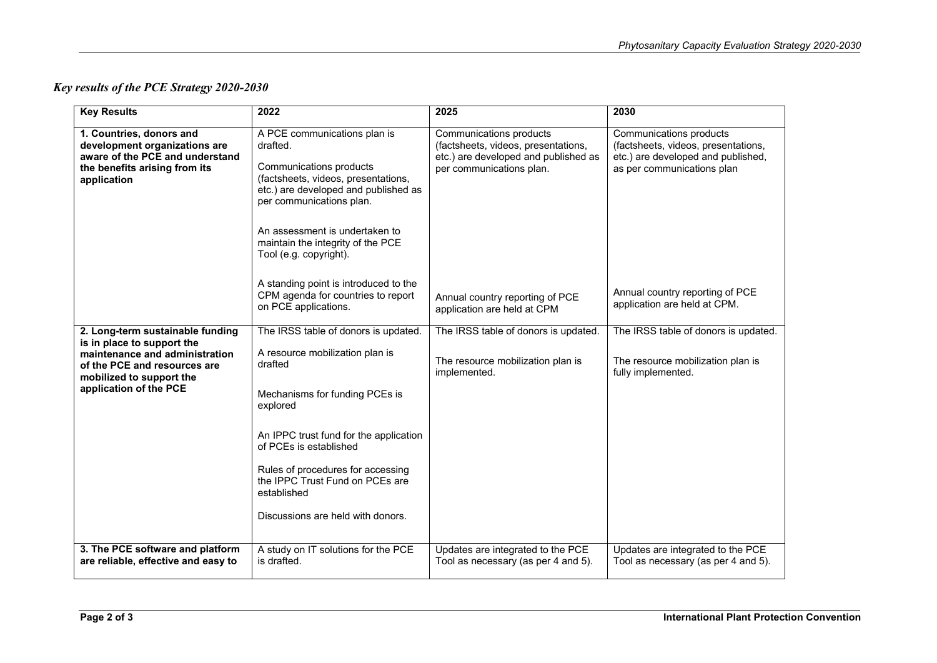# *Key results of the PCE Strategy 2020-2030*

| <b>Key Results</b>                                                                                                                                                                     | 2022                                                                                                                                                                                                                                                                                                                             | 2025                                                                                                                               | 2030                                                                                                                               |
|----------------------------------------------------------------------------------------------------------------------------------------------------------------------------------------|----------------------------------------------------------------------------------------------------------------------------------------------------------------------------------------------------------------------------------------------------------------------------------------------------------------------------------|------------------------------------------------------------------------------------------------------------------------------------|------------------------------------------------------------------------------------------------------------------------------------|
| 1. Countries, donors and<br>development organizations are<br>aware of the PCE and understand<br>the benefits arising from its<br>application                                           | A PCE communications plan is<br>drafted.<br>Communications products<br>(factsheets, videos, presentations,<br>etc.) are developed and published as<br>per communications plan.<br>An assessment is undertaken to<br>maintain the integrity of the PCE<br>Tool (e.g. copyright).                                                  | Communications products<br>(factsheets, videos, presentations,<br>etc.) are developed and published as<br>per communications plan. | Communications products<br>(factsheets, videos, presentations,<br>etc.) are developed and published,<br>as per communications plan |
|                                                                                                                                                                                        | A standing point is introduced to the<br>CPM agenda for countries to report<br>on PCE applications.                                                                                                                                                                                                                              | Annual country reporting of PCE<br>application are held at CPM                                                                     | Annual country reporting of PCE<br>application are held at CPM.                                                                    |
| 2. Long-term sustainable funding<br>is in place to support the<br>maintenance and administration<br>of the PCE and resources are<br>mobilized to support the<br>application of the PCE | The IRSS table of donors is updated.<br>A resource mobilization plan is<br>drafted<br>Mechanisms for funding PCEs is<br>explored<br>An IPPC trust fund for the application<br>of PCEs is established<br>Rules of procedures for accessing<br>the IPPC Trust Fund on PCEs are<br>established<br>Discussions are held with donors. | The IRSS table of donors is updated.<br>The resource mobilization plan is<br>implemented.                                          | The IRSS table of donors is updated.<br>The resource mobilization plan is<br>fully implemented.                                    |
| 3. The PCE software and platform<br>are reliable, effective and easy to                                                                                                                | A study on IT solutions for the PCE<br>is drafted.                                                                                                                                                                                                                                                                               | Updates are integrated to the PCE<br>Tool as necessary (as per 4 and 5).                                                           | Updates are integrated to the PCE<br>Tool as necessary (as per 4 and 5).                                                           |